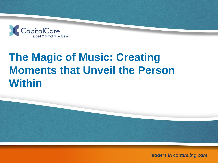

# **Moments that Unveil the Person The Magic of Music: Creating Within**

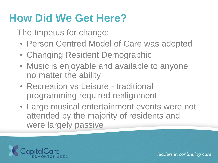### **How Did We Get Here?**

The Impetus for change:

- Person Centred Model of Care was adopted
- Changing Resident Demographic
- Music is enjoyable and available to anyone no matter the ability
- Recreation vs Leisure traditional programming required realignment
- Large musical entertainment events were not attended by the majority of residents and were largely passive

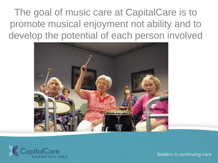The goal of music care at CapitalCare is to promote musical enjoyment not ability and to develop the potential of each person involved



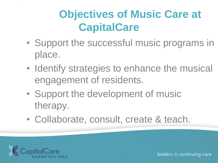# **Objectives of Music Care at CapitalCare**

- Support the successful music programs in place.
- Identify strategies to enhance the musical engagement of residents.
- Support the development of music therapy.
- Collaborate, consult, create & teach.

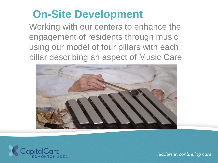### **On-Site Development**

Working with our centers to enhance the engagement of residents through music using our model of four pillars with each pillar describing an aspect of Music Care



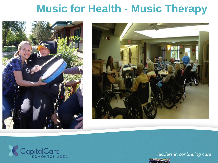### **Music for Health - Music Therapy**





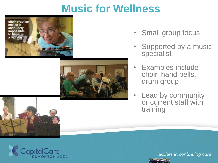### **Music for Wellness**





- Small group focus
- **Supported by a music** specialist
- Examples include choir, hand bells, drum group
- Lead by community or current staff with training

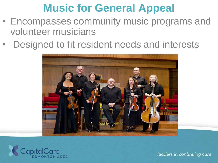### **Music for General Appeal**

- Encompasses community music programs and volunteer musicians
- Designed to fit resident needs and interests